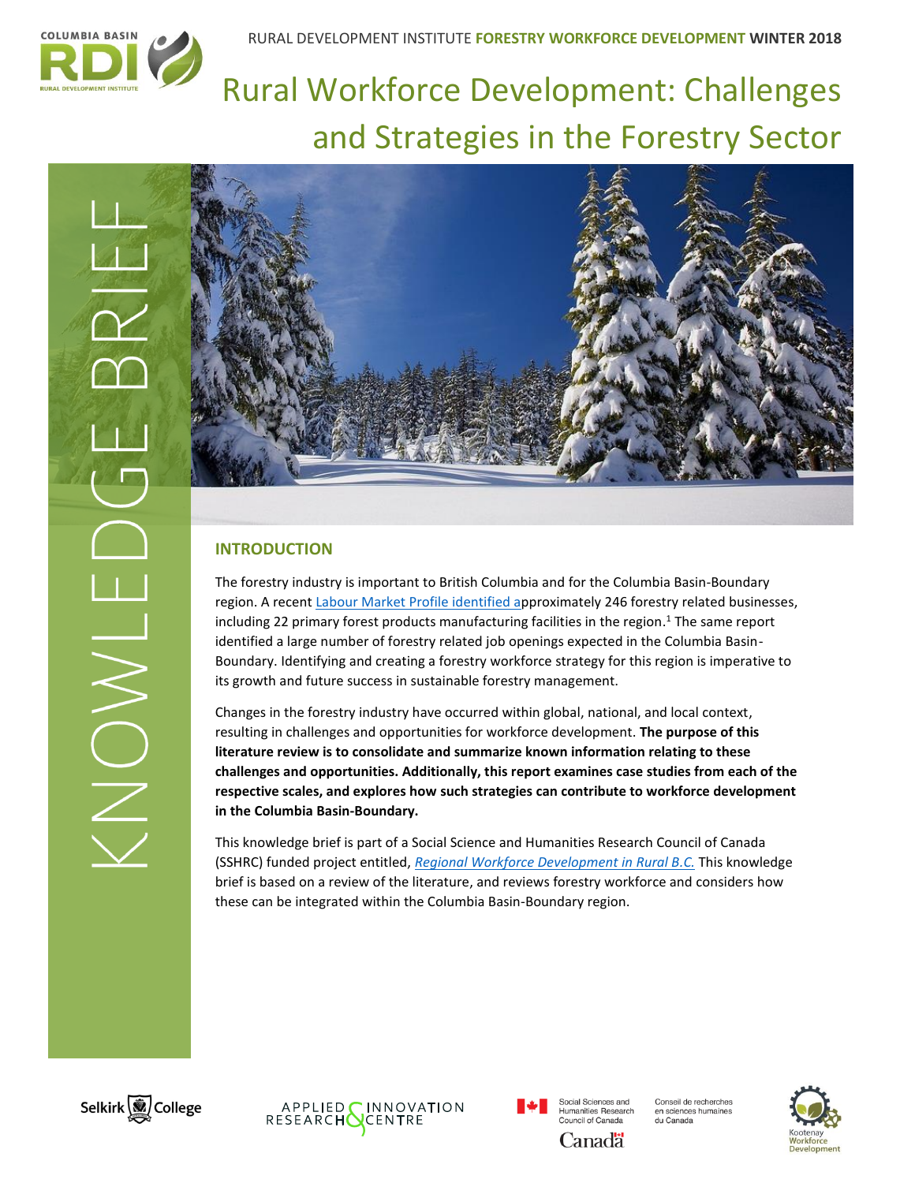

# Rural Workforce Development: Challenges and Strategies in the Forestry Sector





# **INTRODUCTION**

The forestry industry is important to British Columbia and for the Columbia Basin-Boundary region. A recen[t Labour Market Profile](http://datacat.cbrdi.ca/resource/forestry-lmp) identified approximately 246 forestry related businesses, including 22 primary forest products manufacturing facilities in the region. <sup>1</sup> The same report identified a large number of forestry related job openings expected in the Columbia Basin-Boundary. Identifying and creating a forestry workforce strategy for this region is imperative to its growth and future success in sustainable forestry management.

Changes in the forestry industry have occurred within global, national, and local context, resulting in challenges and opportunities for workforce development. **The purpose of this literature review is to consolidate and summarize known information relating to these challenges and opportunities. Additionally, this report examines case studies from each of the respective scales, and explores how such strategies can contribute to workforce development in the Columbia Basin-Boundary.** 

This knowledge brief is part of a Social Science and Humanities Research Council of Canada (SSHRC) funded project entitled, *[Regional Workforce Development in Rural B.C.](http://www.cbrdi.ca/workforce/)* This knowledge brief is based on a review of the literature, and reviews forestry workforce and considers how these can be integrated within the Columbia Basin-Boundary region.





Social Sciences and **Humanities Research** amanass nesse<br>puncil of Canada Canadä

Conseil de recherches en sciences humaines<br>du Canada

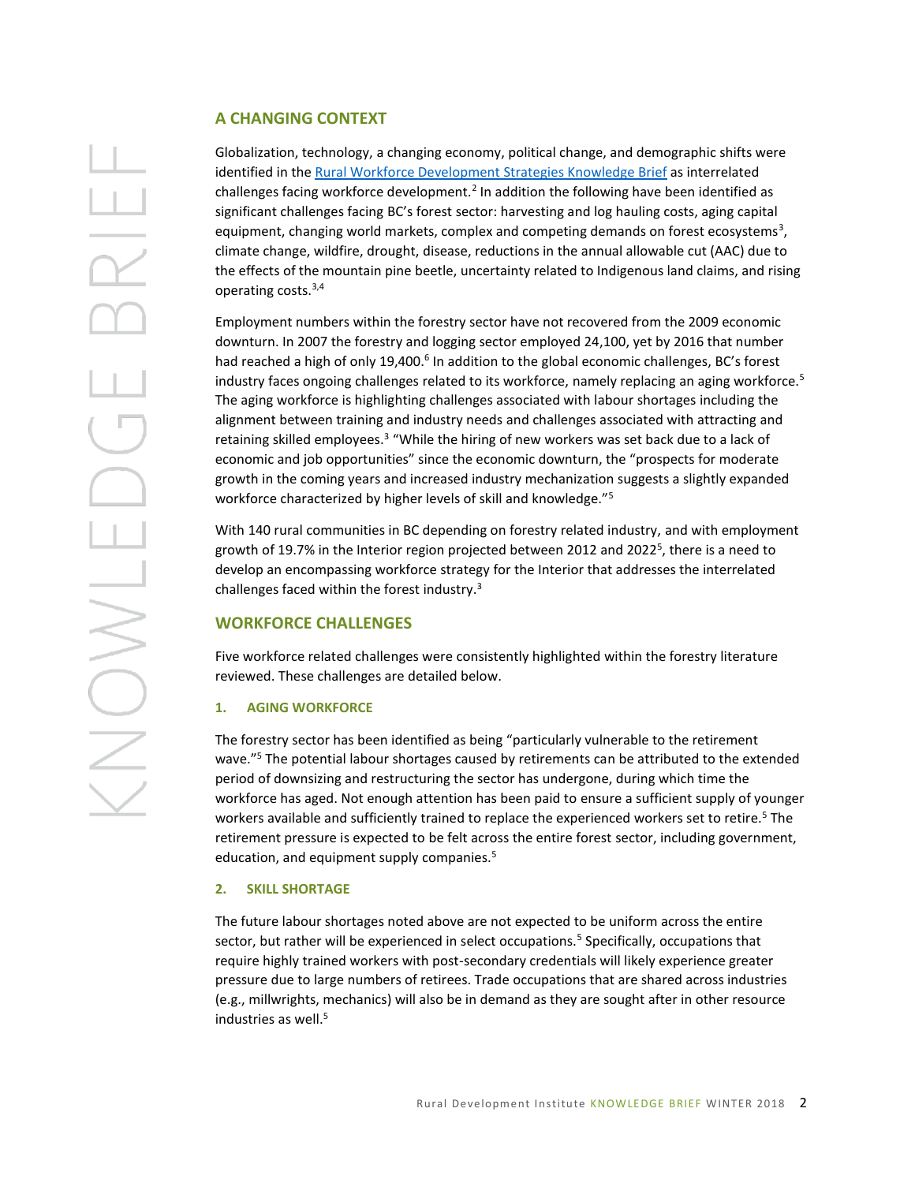### **A CHANGING CONTEXT**

Globalization, technology, a changing economy, political change, and demographic shifts were identified in the [Rural Workforce Development Strategies Knowledge Brief](http://www.cbrdi.ca/workforce/) as interrelated challenges facing workforce development.<sup>2</sup> In addition the following have been identified as significant challenges facing BC's forest sector: harvesting and log hauling costs, aging capital equipment, changing world markets, complex and competing demands on forest ecosystems<sup>3</sup>, climate change, wildfire, drought, disease, reductions in the annual allowable cut (AAC) due to the effects of the mountain pine beetle, uncertainty related to Indigenous land claims, and rising operating costs.3,4

Employment numbers within the forestry sector have not recovered from the 2009 economic downturn. In 2007 the forestry and logging sector employed 24,100, yet by 2016 that number had reached a high of only 19,400.<sup>6</sup> In addition to the global economic challenges, BC's forest industry faces ongoing challenges related to its workforce, namely replacing an aging workforce.<sup>5</sup> The aging workforce is highlighting challenges associated with labour shortages including the alignment between training and industry needs and challenges associated with attracting and retaining skilled employees.<sup>3</sup> "While the hiring of new workers was set back due to a lack of economic and job opportunities" since the economic downturn, the "prospects for moderate growth in the coming years and increased industry mechanization suggests a slightly expanded workforce characterized by higher levels of skill and knowledge."<sup>5</sup>

With 140 rural communities in BC depending on forestry related industry, and with employment growth of 19.7% in the Interior region projected between 2012 and 2022<sup>5</sup>, there is a need to develop an encompassing workforce strategy for the Interior that addresses the interrelated challenges faced within the forest industry.<sup>3</sup>

### **WORKFORCE CHALLENGES**

Five workforce related challenges were consistently highlighted within the forestry literature reviewed. These challenges are detailed below.

### **1. AGING WORKFORCE**

The forestry sector has been identified as being "particularly vulnerable to the retirement wave."<sup>5</sup> The potential labour shortages caused by retirements can be attributed to the extended period of downsizing and restructuring the sector has undergone, during which time the workforce has aged. Not enough attention has been paid to ensure a sufficient supply of younger workers available and sufficiently trained to replace the experienced workers set to retire.<sup>5</sup> The retirement pressure is expected to be felt across the entire forest sector, including government, education, and equipment supply companies.<sup>5</sup>

### **2. SKILL SHORTAGE**

The future labour shortages noted above are not expected to be uniform across the entire sector, but rather will be experienced in select occupations.<sup>5</sup> Specifically, occupations that require highly trained workers with post-secondary credentials will likely experience greater pressure due to large numbers of retirees. Trade occupations that are shared across industries (e.g., millwrights, mechanics) will also be in demand as they are sought after in other resource industries as well. 5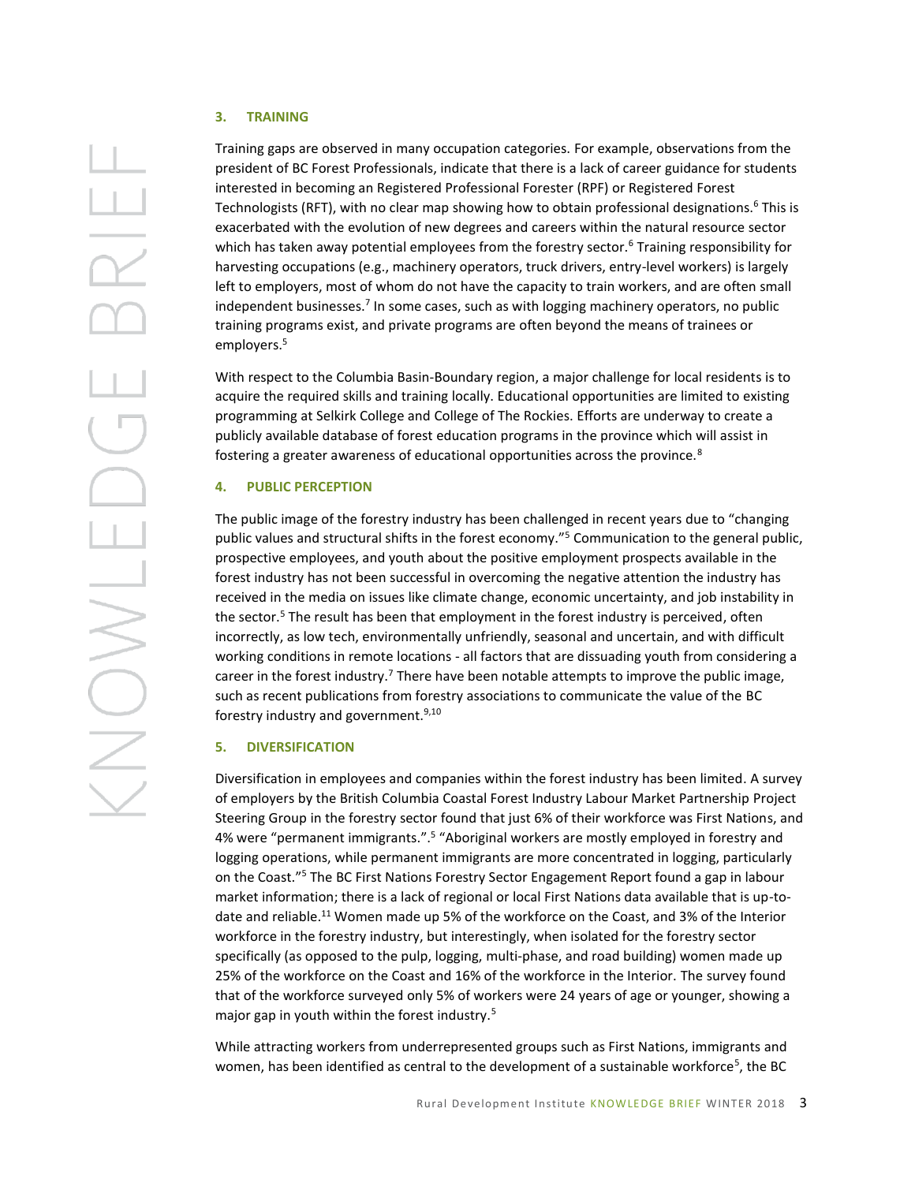### **3. TRAINING**

Training gaps are observed in many occupation categories. For example, observations from the president of BC Forest Professionals, indicate that there is a lack of career guidance for students interested in becoming an Registered Professional Forester (RPF) or Registered Forest Technologists (RFT), with no clear map showing how to obtain professional designations.<sup>6</sup> This is exacerbated with the evolution of new degrees and careers within the natural resource sector which has taken away potential employees from the forestry sector.<sup>6</sup> Training responsibility for harvesting occupations (e.g., machinery operators, truck drivers, entry-level workers) is largely left to employers, most of whom do not have the capacity to train workers, and are often small independent businesses.<sup>7</sup> In some cases, such as with logging machinery operators, no public training programs exist, and private programs are often beyond the means of trainees or employers.<sup>5</sup>

With respect to the Columbia Basin-Boundary region, a major challenge for local residents is to acquire the required skills and training locally. Educational opportunities are limited to existing programming at Selkirk College and College of The Rockies. Efforts are underway to create a publicly available database of forest education programs in the province which will assist in fostering a greater awareness of educational opportunities across the province.<sup>8</sup>

### **4. PUBLIC PERCEPTION**

The public image of the forestry industry has been challenged in recent years due to "changing public values and structural shifts in the forest economy."<sup>5</sup> Communication to the general public, prospective employees, and youth about the positive employment prospects available in the forest industry has not been successful in overcoming the negative attention the industry has received in the media on issues like climate change, economic uncertainty, and job instability in the sector.<sup>5</sup> The result has been that employment in the forest industry is perceived, often incorrectly, as low tech, environmentally unfriendly, seasonal and uncertain, and with difficult working conditions in remote locations - all factors that are dissuading youth from considering a career in the forest industry.<sup>7</sup> There have been notable attempts to improve the public image, such as recent publications from forestry associations to communicate the value of the BC forestry industry and government.<sup>9,10</sup>

### **5. DIVERSIFICATION**

Diversification in employees and companies within the forest industry has been limited. A survey of employers by the British Columbia Coastal Forest Industry Labour Market Partnership Project Steering Group in the forestry sector found that just 6% of their workforce was First Nations, and 4% were "permanent immigrants.".<sup>5</sup> "Aboriginal workers are mostly employed in forestry and logging operations, while permanent immigrants are more concentrated in logging, particularly on the Coast."<sup>5</sup> The BC First Nations Forestry Sector Engagement Report found a gap in labour market information; there is a lack of regional or local First Nations data available that is up-todate and reliable.<sup>11</sup> Women made up 5% of the workforce on the Coast, and 3% of the Interior workforce in the forestry industry, but interestingly, when isolated for the forestry sector specifically (as opposed to the pulp, logging, multi-phase, and road building) women made up 25% of the workforce on the Coast and 16% of the workforce in the Interior. The survey found that of the workforce surveyed only 5% of workers were 24 years of age or younger, showing a major gap in youth within the forest industry.<sup>5</sup>

While attracting workers from underrepresented groups such as First Nations, immigrants and women, has been identified as central to the development of a sustainable workforce<sup>5</sup>, the BC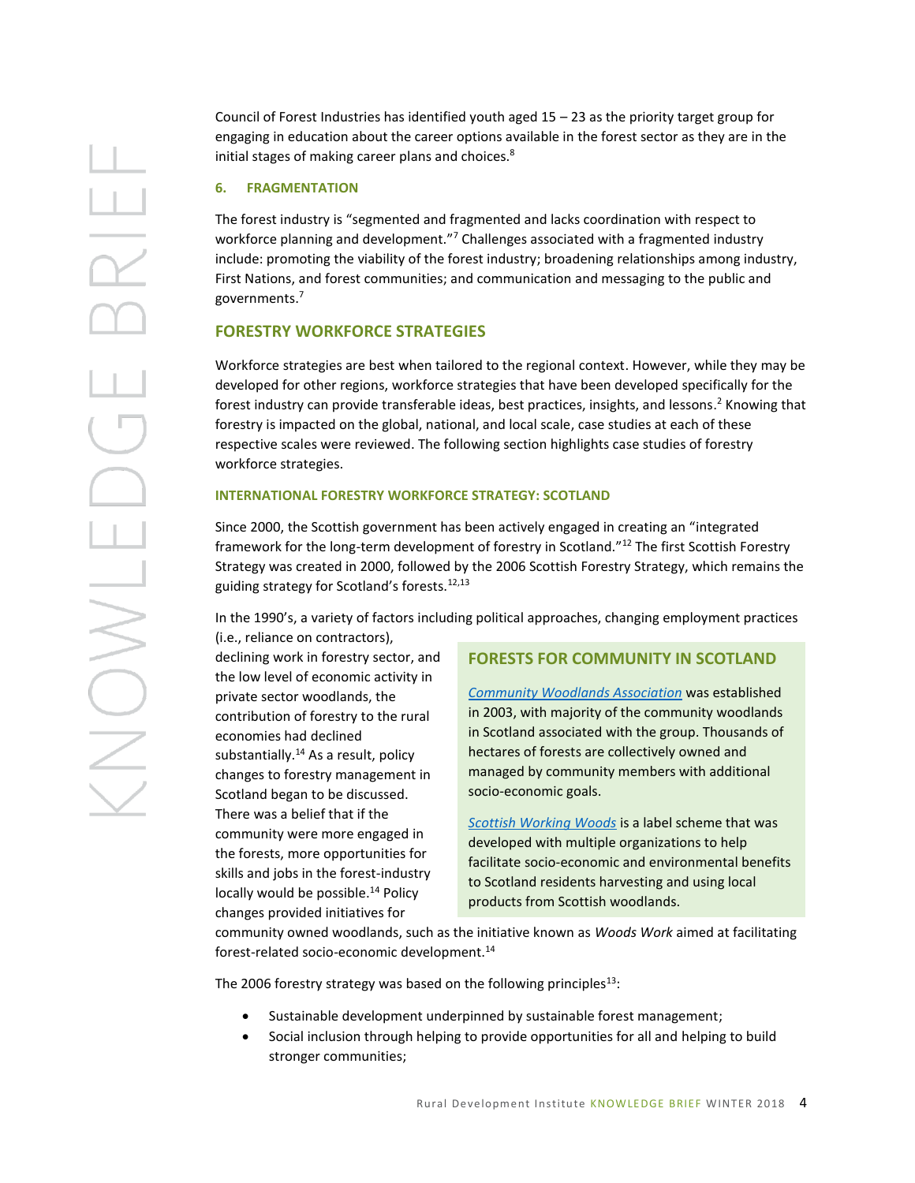ENONS

Council of Forest Industries has identified youth aged 15 – 23 as the priority target group for engaging in education about the career options available in the forest sector as they are in the initial stages of making career plans and choices.<sup>8</sup>

### **6. FRAGMENTATION**

The forest industry is "segmented and fragmented and lacks coordination with respect to workforce planning and development."<sup>7</sup> Challenges associated with a fragmented industry include: promoting the viability of the forest industry; broadening relationships among industry, First Nations, and forest communities; and communication and messaging to the public and governments.<sup>7</sup>

## **FORESTRY WORKFORCE STRATEGIES**

Workforce strategies are best when tailored to the regional context. However, while they may be developed for other regions, workforce strategies that have been developed specifically for the forest industry can provide transferable ideas, best practices, insights, and lessons. <sup>2</sup> Knowing that forestry is impacted on the global, national, and local scale, case studies at each of these respective scales were reviewed. The following section highlights case studies of forestry workforce strategies.

### **INTERNATIONAL FORESTRY WORKFORCE STRATEGY: SCOTLAND**

Since 2000, the Scottish government has been actively engaged in creating an "integrated framework for the long-term development of forestry in Scotland."<sup>12</sup> The first Scottish Forestry Strategy was created in 2000, followed by the 2006 Scottish Forestry Strategy, which remains the guiding strategy for Scotland's forests.12,13

In the 1990's, a variety of factors including political approaches, changing employment practices (i.e., reliance on contractors),

declining work in forestry sector, and the low level of economic activity in private sector woodlands, the contribution of forestry to the rural economies had declined substantially.<sup>14</sup> As a result, policy changes to forestry management in Scotland began to be discussed. There was a belief that if the community were more engaged in the forests, more opportunities for skills and jobs in the forest-industry locally would be possible.<sup>14</sup> Policy changes provided initiatives for

### **FORESTS FOR COMMUNITY IN SCOTLAND**

*[Community Woodlands Association](http://www.communitywoods.org/)* was established in 2003, with majority of the community woodlands in Scotland associated with the group. Thousands of hectares of forests are collectively owned and managed by community members with additional socio-economic goals.

*[Scottish Working Woods](http://www.scottishworkingwoods.org.uk/)* is a label scheme that was developed with multiple organizations to help facilitate socio-economic and environmental benefits to Scotland residents harvesting and using local products from Scottish woodlands.

community owned woodlands, such as the initiative known as *Woods Work* aimed at facilitating forest-related socio-economic development.<sup>14</sup>

The 2006 forestry strategy was based on the following principles $^{13}$ :

- Sustainable development underpinned by sustainable forest management;
- Social inclusion through helping to provide opportunities for all and helping to build stronger communities;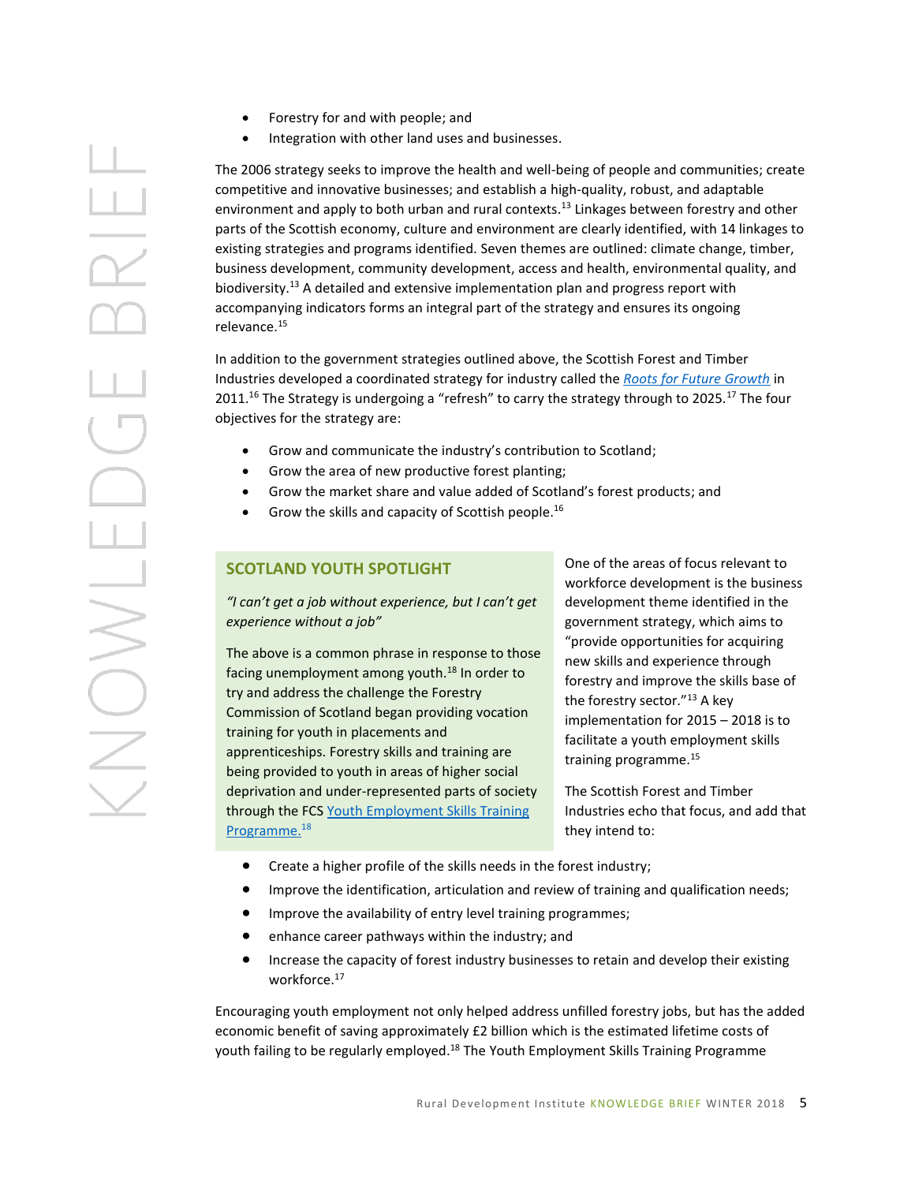- Forestry for and with people; and
- Integration with other land uses and businesses.

The 2006 strategy seeks to improve the health and well-being of people and communities; create competitive and innovative businesses; and establish a high-quality, robust, and adaptable environment and apply to both urban and rural contexts. <sup>13</sup> Linkages between forestry and other parts of the Scottish economy, culture and environment are clearly identified, with 14 linkages to existing strategies and programs identified. Seven themes are outlined: climate change, timber, business development, community development, access and health, environmental quality, and biodiversity.<sup>13</sup> A detailed and extensive implementation plan and progress report with accompanying indicators forms an integral part of the strategy and ensures its ongoing relevance. 15

In addition to the government strategies outlined above, the Scottish Forest and Timber Industries developed a coordinated strategy for industry called the *[Roots for Future Growth](http://www.forestryscotland.com/forestry/sector-strategy-)* in 2011.<sup>16</sup> The Strategy is undergoing a "refresh" to carry the strategy through to 2025.<sup>17</sup> The four objectives for the strategy are:

- Grow and communicate the industry's contribution to Scotland;
- Grow the area of new productive forest planting;
- Grow the market share and value added of Scotland's forest products; and
- $\bullet$  Grow the skills and capacity of Scottish people.<sup>16</sup>

### **SCOTLAND YOUTH SPOTLIGHT**

*"I can't get a job without experience, but I can't get experience without a job"* 

The above is a common phrase in response to those facing unemployment among youth.<sup>18</sup> In order to try and address the challenge the Forestry Commission of Scotland began providing vocation training for youth in placements and apprenticeships. Forestry skills and training are being provided to youth in areas of higher social deprivation and under-represented parts of society through the FCS [Youth Employment Skills Training](http://scotland.forestry.gov.uk/news/1293-youth-employment-skills-training)  [Programme.](http://scotland.forestry.gov.uk/news/1293-youth-employment-skills-training)<sup>18</sup>

One of the areas of focus relevant to workforce development is the business development theme identified in the government strategy, which aims to "provide opportunities for acquiring new skills and experience through forestry and improve the skills base of the forestry sector."<sup>13</sup> A key implementation for 2015 – 2018 is to facilitate a youth employment skills training programme.<sup>15</sup>

The Scottish Forest and Timber Industries echo that focus, and add that they intend to:

- Create a higher profile of the skills needs in the forest industry;
- Improve the identification, articulation and review of training and qualification needs;
- Improve the availability of entry level training programmes;
- enhance career pathways within the industry; and
- Increase the capacity of forest industry businesses to retain and develop their existing workforce.<sup>17</sup>

Encouraging youth employment not only helped address unfilled forestry jobs, but has the added economic benefit of saving approximately £2 billion which is the estimated lifetime costs of youth failing to be regularly employed.<sup>18</sup> The Youth Employment Skills Training Programme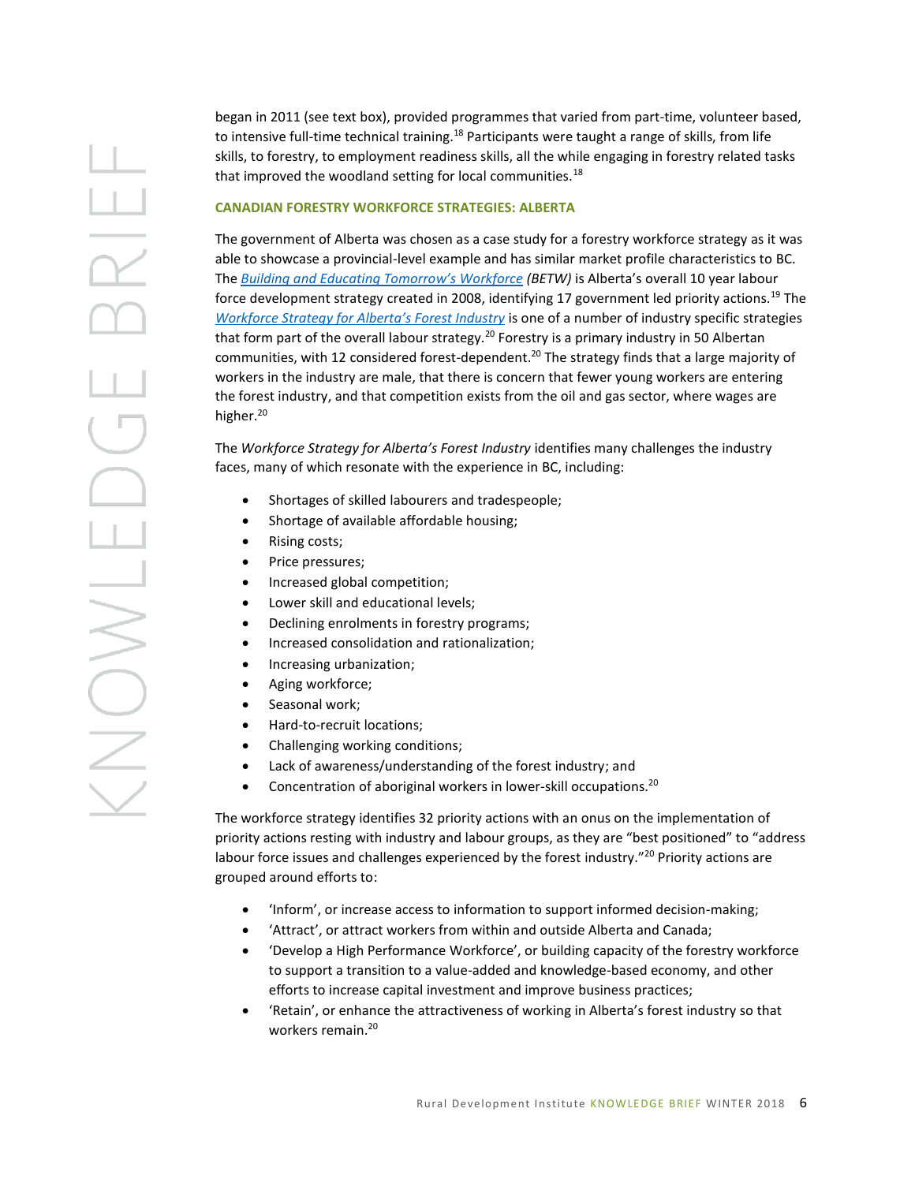began in 2011 (see text box), provided programmes that varied from part-time, volunteer based, to intensive full-time technical training.<sup>18</sup> Participants were taught a range of skills, from life skills, to forestry, to employment readiness skills, all the while engaging in forestry related tasks that improved the woodland setting for local communities.<sup>18</sup> **CANADIAN FORESTRY WORKFORCE STRATEGIES: ALBERTA** The government of Alberta was chosen as a case study for a forestry workforce strategy as it was able to showcase a provincial-level example and has similar market profile characteristics to BC.

The *[Building and Educating Tomorro](http://work.alberta.ca/department/betw.html)w's Workforce (BETW)* is Alberta's overall 10 year labour force development strategy created in 2008, identifying 17 government led priority actions.<sup>19</sup> The *[Workforce Strategy for Alberta's Forest Industry](http://work.alberta.ca/department/betw.html)* is one of a number of industry specific strategies that form part of the overall labour strategy.<sup>20</sup> Forestry is a primary industry in 50 Albertan communities, with 12 considered forest-dependent.<sup>20</sup> The strategy finds that a large majority of workers in the industry are male, that there is concern that fewer young workers are entering the forest industry, and that competition exists from the oil and gas sector, where wages are higher.<sup>20</sup>

The *Workforce Strategy for Alberta's Forest Industry* identifies many challenges the industry faces, many of which resonate with the experience in BC, including:

- Shortages of skilled labourers and tradespeople;
- Shortage of available affordable housing;
- Rising costs;
- Price pressures;
- Increased global competition;
- Lower skill and educational levels;
- Declining enrolments in forestry programs;
- Increased consolidation and rationalization;
- **•** Increasing urbanization;
- Aging workforce;
- Seasonal work;
- Hard-to-recruit locations;
- Challenging working conditions;
- Lack of awareness/understanding of the forest industry; and
- Concentration of aboriginal workers in lower-skill occupations.<sup>20</sup>

The workforce strategy identifies 32 priority actions with an onus on the implementation of priority actions resting with industry and labour groups, as they are "best positioned" to "address labour force issues and challenges experienced by the forest industry."<sup>20</sup> Priority actions are grouped around efforts to:

- 'Inform', or increase access to information to support informed decision-making;
- 'Attract', or attract workers from within and outside Alberta and Canada;
- 'Develop a High Performance Workforce', or building capacity of the forestry workforce to support a transition to a value-added and knowledge-based economy, and other efforts to increase capital investment and improve business practices;
- 'Retain', or enhance the attractiveness of working in Alberta's forest industry so that workers remain.<sup>20</sup>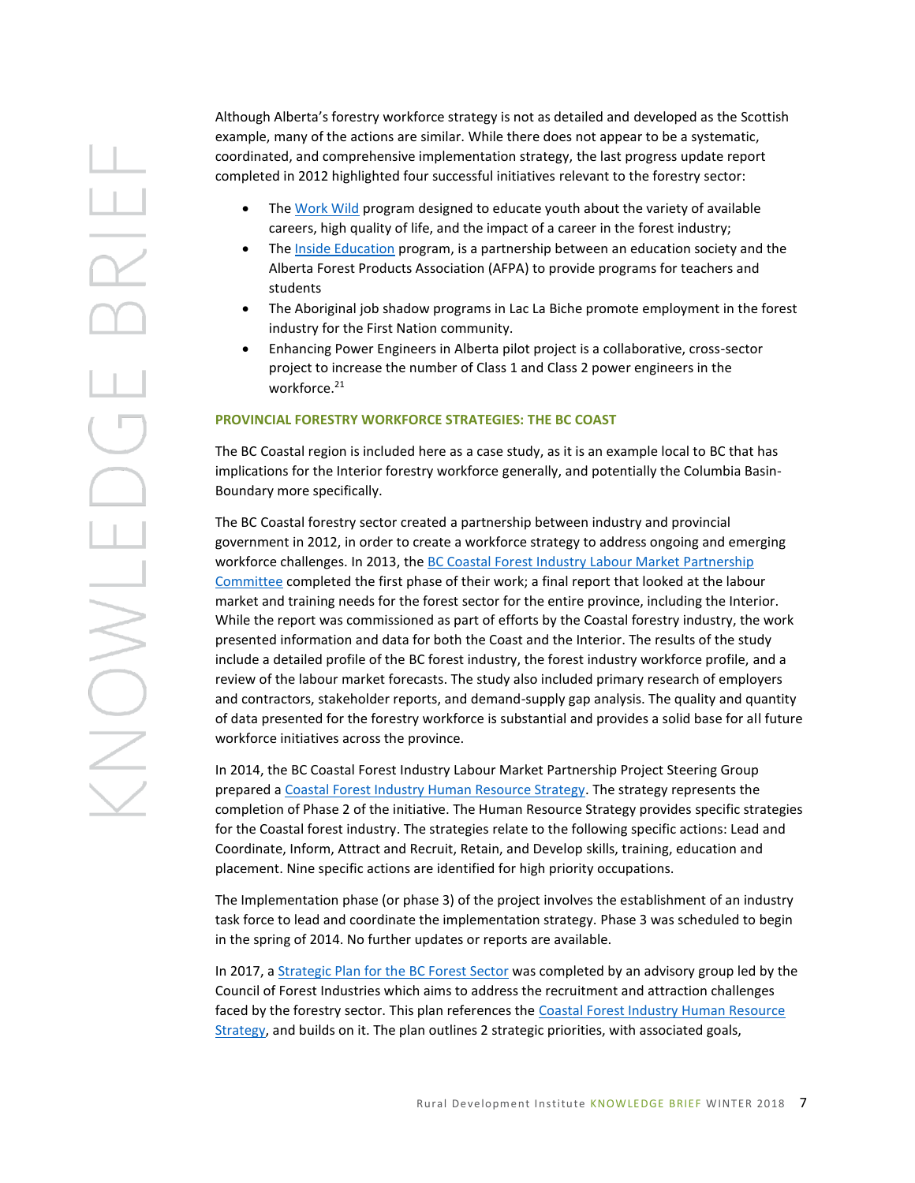Although Alberta's forestry workforce strategy is not as detailed and developed as the Scottish example, many of the actions are similar. While there does not appear to be a systematic, coordinated, and comprehensive implementation strategy, the last progress update report completed in 2012 highlighted four successful initiatives relevant to the forestry sector:

- Th[e Work Wild](https://workwild.ca/) program designed to educate youth about the variety of available careers, high quality of life, and the impact of a career in the forest industry;
- Th[e Inside Education](http://www.insideeducation.ca/education/its-our-forest/) program, is a partnership between an education society and the Alberta Forest Products Association (AFPA) to provide programs for teachers and students
- The Aboriginal job shadow programs in Lac La Biche promote employment in the forest industry for the First Nation community.
- Enhancing Power Engineers in Alberta pilot project is a collaborative, cross-sector project to increase the number of Class 1 and Class 2 power engineers in the workforce.<sup>21</sup>

### **PROVINCIAL FORESTRY WORKFORCE STRATEGIES: THE BC COAST**

The BC Coastal region is included here as a case study, as it is an example local to BC that has implications for the Interior forestry workforce generally, and potentially the Columbia Basin-Boundary more specifically.

The BC Coastal forestry sector created a partnership between industry and provincial government in 2012, in order to create a workforce strategy to address ongoing and emerging workforce challenges. In 2013, the BC [Coastal Forest Industry Labour Market Partnership](http://tla.ca/hrstrategy)  [Committee](http://tla.ca/hrstrategy) completed the first phase of their work; a final report that looked at the labour market and training needs for the forest sector for the entire province, including the Interior. While the report was commissioned as part of efforts by the Coastal forestry industry, the work presented information and data for both the Coast and the Interior. The results of the study include a detailed profile of the BC forest industry, the forest industry workforce profile, and a review of the labour market forecasts. The study also included primary research of employers and contractors, stakeholder reports, and demand-supply gap analysis. The quality and quantity of data presented for the forestry workforce is substantial and provides a solid base for all future workforce initiatives across the province.

In 2014, the BC Coastal Forest Industry Labour Market Partnership Project Steering Group prepared a [Coastal Forest Industry Human Resource Strategy.](http://tla.ca/hrstrategy) The strategy represents the completion of Phase 2 of the initiative. The Human Resource Strategy provides specific strategies for the Coastal forest industry. The strategies relate to the following specific actions: Lead and Coordinate, Inform, Attract and Recruit, Retain, and Develop skills, training, education and placement. Nine specific actions are identified for high priority occupations.

The Implementation phase (or phase 3) of the project involves the establishment of an industry task force to lead and coordinate the implementation strategy. Phase 3 was scheduled to begin in the spring of 2014. No further updates or reports are available.

In 2017, a [Strategic Plan for the BC Forest Sector](https://www.workbc.ca/Labour-Market-Industry/Industry-Information/Industry-Outlooks/Forestry.aspx) was completed by an advisory group led by the Council of Forest Industries which aims to address the recruitment and attraction challenges faced by the forestry sector. This plan references th[e Coastal Forest Industry Human Resource](http://tla.ca/hrstrategy)  [Strategy,](http://tla.ca/hrstrategy) and builds on it. The plan outlines 2 strategic priorities, with associated goals,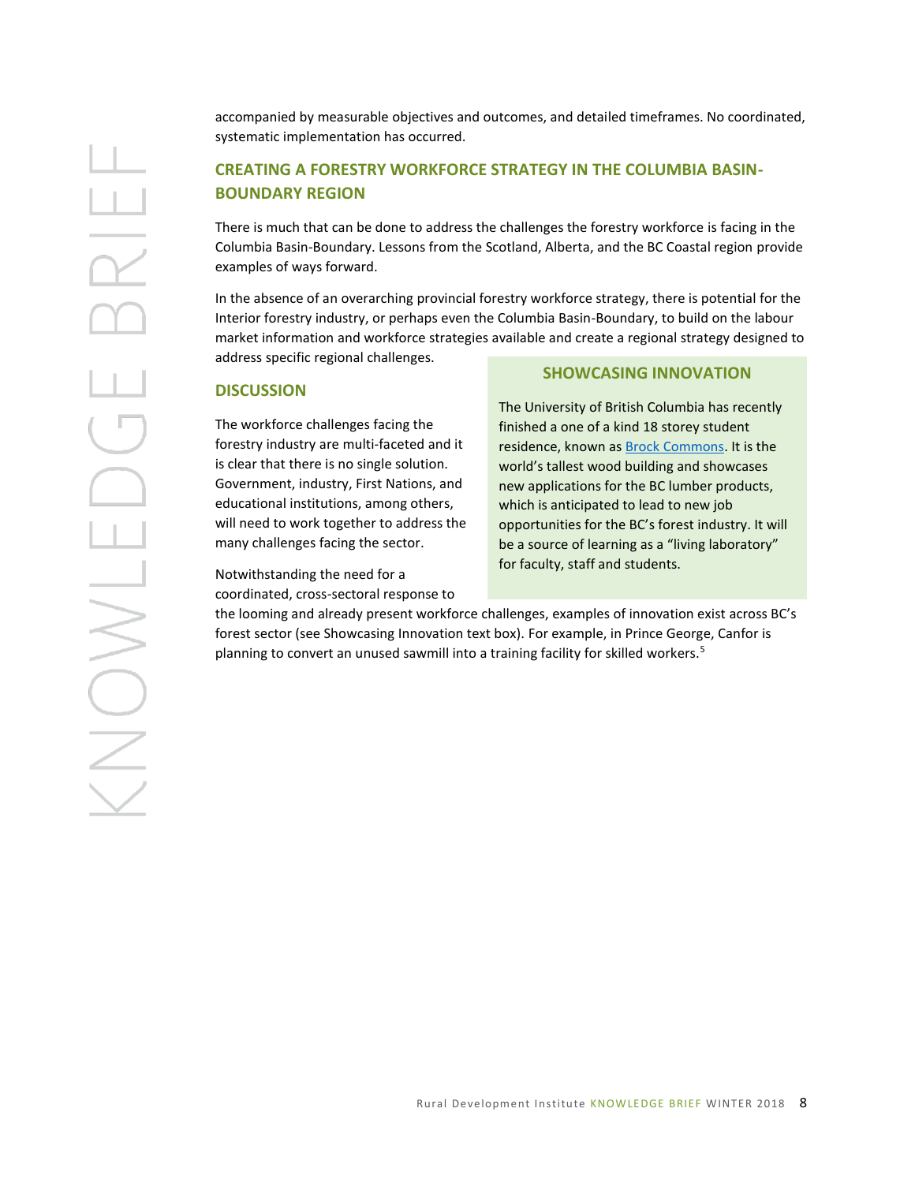accompanied by measurable objectives and outcomes, and detailed timeframes. No coordinated, systematic implementation has occurred.

# **CREATING A FORESTRY WORKFORCE STRATEGY IN THE COLUMBIA BASIN-BOUNDARY REGION**

There is much that can be done to address the challenges the forestry workforce is facing in the Columbia Basin-Boundary. Lessons from the Scotland, Alberta, and the BC Coastal region provide examples of ways forward.

In the absence of an overarching provincial forestry workforce strategy, there is potential for the Interior forestry industry, or perhaps even the Columbia Basin-Boundary, to build on the labour market information and workforce strategies available and create a regional strategy designed to address specific regional challenges.

### **DISCUSSION**

The workforce challenges facing the forestry industry are multi-faceted and it is clear that there is no single solution. Government, industry, First Nations, and educational institutions, among others, will need to work together to address the many challenges facing the sector.

Notwithstanding the need for a coordinated, cross-sectoral response to

### **SHOWCASING INNOVATION**

The University of British Columbia has recently finished a one of a kind 18 storey student residence, known a[s Brock Commons.](https://news.ubc.ca/2016/09/15/structure-of-ubcs-tall-wood-building-now-complete/) It is the world's tallest wood building and showcases new applications for the BC lumber products, which is anticipated to lead to new job opportunities for the BC's forest industry. It will be a source of learning as a "living laboratory" for faculty, staff and students.

the looming and already present workforce challenges, examples of innovation exist across BC's forest sector (see Showcasing Innovation text box). For example, in Prince George, Canfor is planning to convert an unused sawmill into a training facility for skilled workers.<sup>5</sup>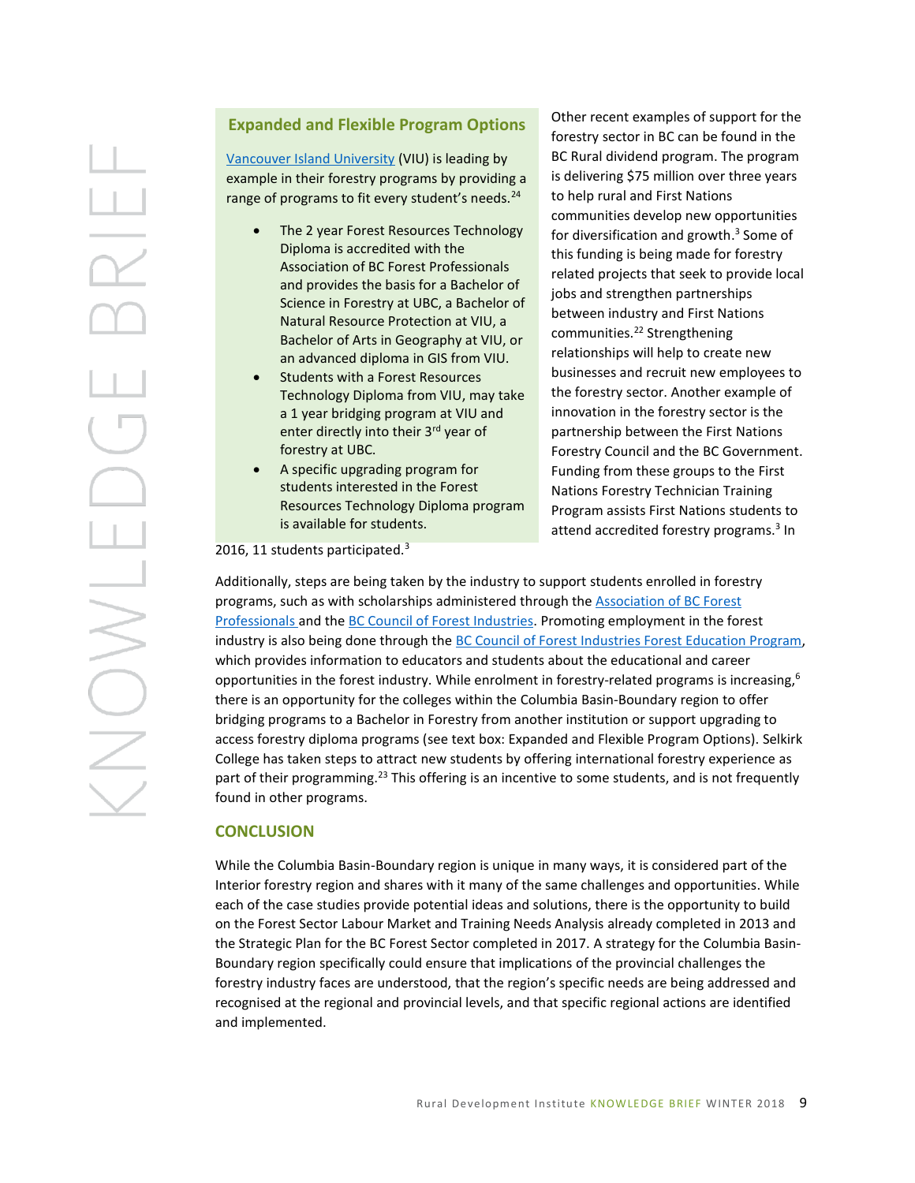# **Expanded and Flexible Program Options**

[Vancouver Island University](https://scitech.viu.ca/forestry/program-options) (VIU) is leading by example in their forestry programs by providing a range of programs to fit every student's needs.<sup>24</sup>

- The 2 year Forest Resources Technology Diploma is accredited with the Association of BC Forest Professionals and provides the basis for a Bachelor of Science in Forestry at UBC, a Bachelor of Natural Resource Protection at VIU, a Bachelor of Arts in Geography at VIU, or an advanced diploma in GIS from VIU.
- Students with a Forest Resources Technology Diploma from VIU, may take a 1 year bridging program at VIU and enter directly into their 3<sup>rd</sup> year of forestry at UBC.
- A specific upgrading program for students interested in the Forest Resources Technology Diploma program is available for students.

Other recent examples of support for the forestry sector in BC can be found in the BC Rural dividend program. The program is delivering \$75 million over three years to help rural and First Nations communities develop new opportunities for diversification and growth. 3 Some of this funding is being made for forestry related projects that seek to provide local jobs and strengthen partnerships between industry and First Nations communities.<sup>22</sup> Strengthening relationships will help to create new businesses and recruit new employees to the forestry sector. Another example of innovation in the forestry sector is the partnership between the First Nations Forestry Council and the BC Government. Funding from these groups to the First Nations Forestry Technician Training Program assists First Nations students to attend accredited forestry programs.<sup>3</sup> In

2016, 11 students participated.<sup>3</sup>

Additionally, steps are being taken by the industry to support students enrolled in forestry programs, such as with scholarships administered through th[e Association of BC Forest](https://abcfp.ca/web/abcfp/forestrust)  [Professionals](https://abcfp.ca/web/abcfp/forestrust) and the [BC Council of Forest Industries.](https://www.cofi.org/wp-content/uploads/Scholarship-Package.pdf) Promoting employment in the forest industry is also being done through the [BC Council of Forest Industries Forest Education Program,](https://www.cofi.org/forestry-for-the-future/) which provides information to educators and students about the educational and career opportunities in the forest industry. While enrolment in forestry-related programs is increasing,  $6$ there is an opportunity for the colleges within the Columbia Basin-Boundary region to offer bridging programs to a Bachelor in Forestry from another institution or support upgrading to access forestry diploma programs (see text box: Expanded and Flexible Program Options). Selkirk College has taken steps to attract new students by offering international forestry experience as part of their programming.<sup>23</sup> This offering is an incentive to some students, and is not frequently found in other programs.

### **CONCLUSION**

While the Columbia Basin-Boundary region is unique in many ways, it is considered part of the Interior forestry region and shares with it many of the same challenges and opportunities. While each of the case studies provide potential ideas and solutions, there is the opportunity to build on the Forest Sector Labour Market and Training Needs Analysis already completed in 2013 and the Strategic Plan for the BC Forest Sector completed in 2017. A strategy for the Columbia Basin-Boundary region specifically could ensure that implications of the provincial challenges the forestry industry faces are understood, that the region's specific needs are being addressed and recognised at the regional and provincial levels, and that specific regional actions are identified and implemented.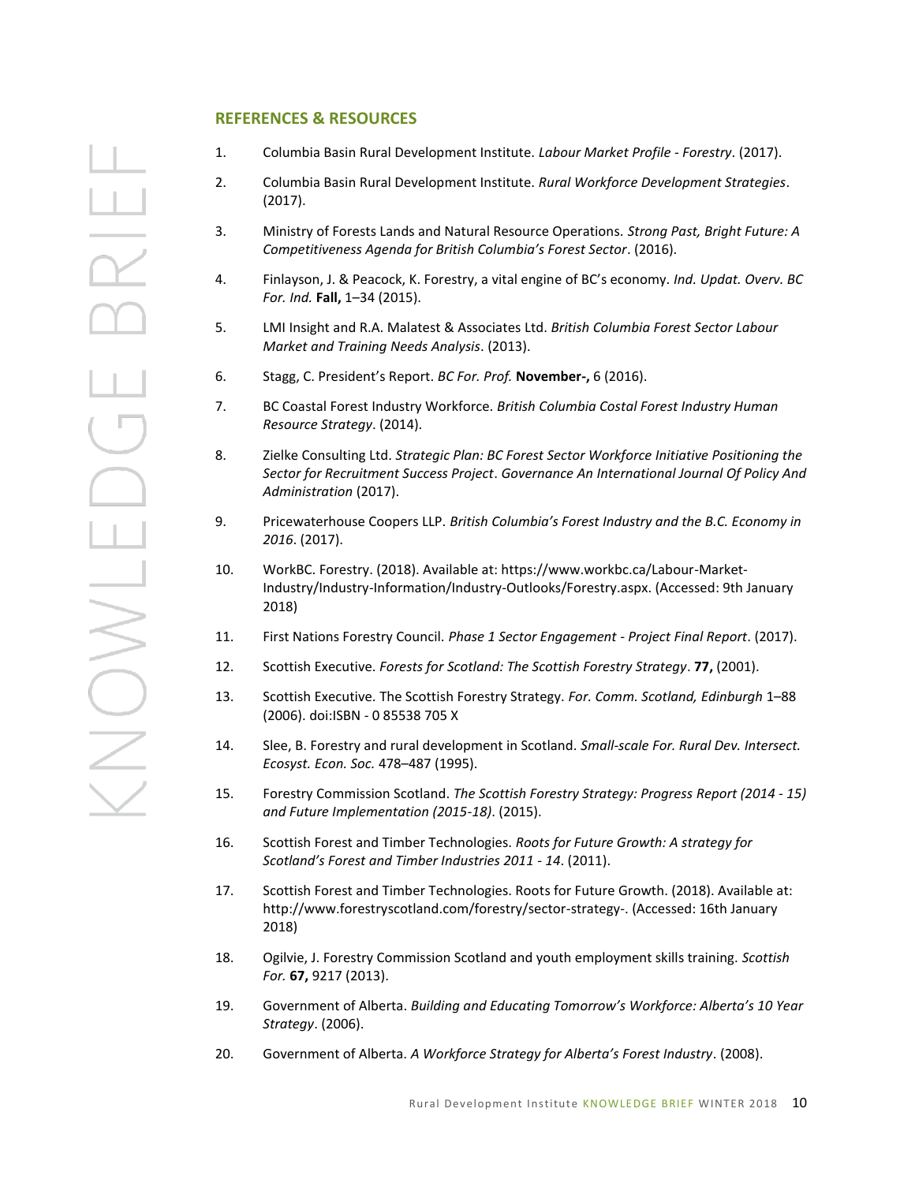# $\frac{1}{2}$ CHNONS

### **REFERENCES & RESOURCES**

- 1. Columbia Basin Rural Development Institute. *Labour Market Profile - Forestry*. (2017).
- 2. Columbia Basin Rural Development Institute. *Rural Workforce Development Strategies*. (2017).
- 3. Ministry of Forests Lands and Natural Resource Operations. *Strong Past, Bright Future: A Competitiveness Agenda for British Columbia's Forest Sector*. (2016).
- 4. Finlayson, J. & Peacock, K. Forestry, a vital engine of BC's economy. *Ind. Updat. Overv. BC For. Ind.* **Fall,** 1–34 (2015).
- 5. LMI Insight and R.A. Malatest & Associates Ltd. *British Columbia Forest Sector Labour Market and Training Needs Analysis*. (2013).
- 6. Stagg, C. President's Report. *BC For. Prof.* **November-,** 6 (2016).
- 7. BC Coastal Forest Industry Workforce. *British Columbia Costal Forest Industry Human Resource Strategy*. (2014).
- 8. Zielke Consulting Ltd. *Strategic Plan: BC Forest Sector Workforce Initiative Positioning the Sector for Recruitment Success Project*. *Governance An International Journal Of Policy And Administration* (2017).
- 9. Pricewaterhouse Coopers LLP. *British Columbia's Forest Industry and the B.C. Economy in 2016*. (2017).
- 10. WorkBC. Forestry. (2018). Available at: https://www.workbc.ca/Labour-Market-Industry/Industry-Information/Industry-Outlooks/Forestry.aspx. (Accessed: 9th January 2018)
- 11. First Nations Forestry Council. *Phase 1 Sector Engagement - Project Final Report*. (2017).
- 12. Scottish Executive. *Forests for Scotland: The Scottish Forestry Strategy*. **77,** (2001).
- 13. Scottish Executive. The Scottish Forestry Strategy. *For. Comm. Scotland, Edinburgh* 1–88 (2006). doi:ISBN - 0 85538 705 X
- 14. Slee, B. Forestry and rural development in Scotland. *Small-scale For. Rural Dev. Intersect. Ecosyst. Econ. Soc.* 478–487 (1995).
- 15. Forestry Commission Scotland. *The Scottish Forestry Strategy: Progress Report (2014 - 15) and Future Implementation (2015-18)*. (2015).
- 16. Scottish Forest and Timber Technologies. *Roots for Future Growth: A strategy for Scotland's Forest and Timber Industries 2011 - 14*. (2011).
- 17. Scottish Forest and Timber Technologies. Roots for Future Growth. (2018). Available at: http://www.forestryscotland.com/forestry/sector-strategy-. (Accessed: 16th January 2018)
- 18. Ogilvie, J. Forestry Commission Scotland and youth employment skills training. *Scottish For.* **67,** 9217 (2013).
- 19. Government of Alberta. *Building and Educating Tomorrow's Workforce: Alberta's 10 Year Strategy*. (2006).
- 20. Government of Alberta. *A Workforce Strategy for Alberta's Forest Industry*. (2008).